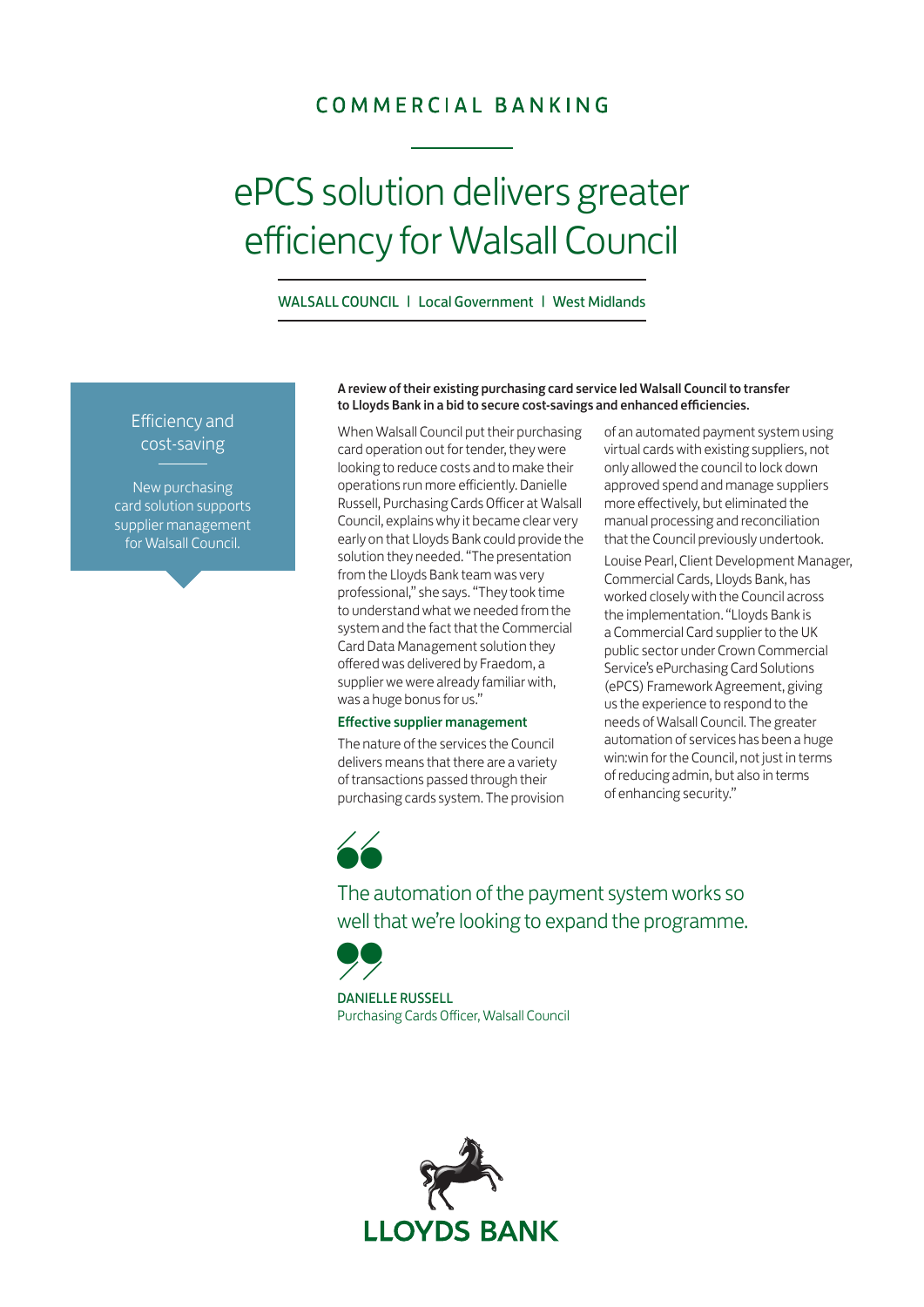## COMMERCIAL BANKING

# ePCS solution delivers greater efficiency for Walsall Council

WALSALL COUNCIL | Local Government | West Midlands

### Efficiency and cost-saving

New purchasing card solution supports supplier management for Walsall Council.

#### A review of their existing purchasing card service led Walsall Council to transfer to Lloyds Bank in a bid to secure cost-savings and enhanced efficiencies.

When Walsall Council put their purchasing card operation out for tender, they were looking to reduce costs and to make their operations run more efficiently. Danielle Russell, Purchasing Cards Officer at Walsall Council, explains why it became clear very early on that Lloyds Bank could provide the solution they needed. "The presentation from the Lloyds Bank team was very professional," she says. "They took time to understand what we needed from the system and the fact that the Commercial Card Data Management solution they offered was delivered by Fraedom, a supplier we were already familiar with, was a huge bonus for us."

#### Effective supplier management

The nature of the services the Council delivers means that there are a variety of transactions passed through their purchasing cards system. The provision of an automated payment system using virtual cards with existing suppliers, not only allowed the council to lock down approved spend and manage suppliers more effectively, but eliminated the manual processing and reconciliation that the Council previously undertook.

Louise Pearl, Client Development Manager, Commercial Cards, Lloyds Bank, has worked closely with the Council across the implementation. "Lloyds Bank is a Commercial Card supplier to the UK public sector under Crown Commercial Service's ePurchasing Card Solutions (ePCS) Framework Agreement, giving us the experience to respond to the needs of Walsall Council. The greater automation of services has been a huge win:win for the Council, not just in terms of reducing admin, but also in terms of enhancing security."

"

The automation of the payment system works so well that we're looking to expand the programme.

" DANIELLE RUSSELL Purchasing Cards Officer, Walsall Council